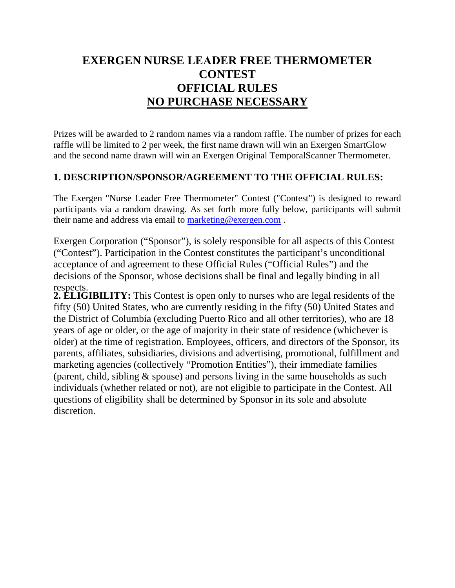# **EXERGEN NURSE LEADER FREE THERMOMETER CONTEST OFFICIAL RULES NO PURCHASE NECESSARY**

Prizes will be awarded to 2 random names via a random raffle. The number of prizes for each raffle will be limited to 2 per week, the first name drawn will win an Exergen SmartGlow and the second name drawn will win an Exergen Original TemporalScanner Thermometer.

# **1. DESCRIPTION/SPONSOR/AGREEMENT TO THE OFFICIAL RULES:**

The Exergen "Nurse Leader Free Thermometer" Contest ("Contest") is designed to reward participants via a random drawing. As set forth more fully below, participants will submit their name and address via email to marketing@exergen.com .

Exergen Corporation ("Sponsor"), is solely responsible for all aspects of this Contest ("Contest"). Participation in the Contest constitutes the participant's unconditional acceptance of and agreement to these Official Rules ("Official Rules") and the decisions of the Sponsor, whose decisions shall be final and legally binding in all respects.

**2. ELIGIBILITY:** This Contest is open only to nurses who are legal residents of the fifty (50) United States, who are currently residing in the fifty (50) United States and the District of Columbia (excluding Puerto Rico and all other territories), who are 18 years of age or older, or the age of majority in their state of residence (whichever is older) at the time of registration. Employees, officers, and directors of the Sponsor, its parents, affiliates, subsidiaries, divisions and advertising, promotional, fulfillment and marketing agencies (collectively "Promotion Entities"), their immediate families (parent, child, sibling & spouse) and persons living in the same households as such individuals (whether related or not), are not eligible to participate in the Contest. All questions of eligibility shall be determined by Sponsor in its sole and absolute discretion.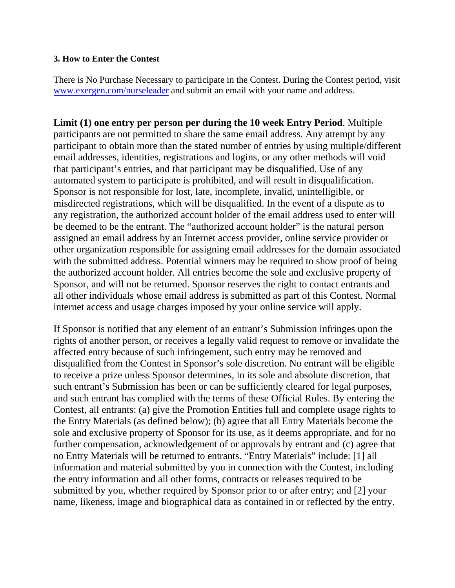#### **3. How to Enter the Contest**

There is No Purchase Necessary to participate in the Contest. During the Contest period, visit www.exergen.com/nurseleader and submit an email with your name and address.

**Limit (1) one entry per person per during the 10 week Entry Period**. Multiple participants are not permitted to share the same email address. Any attempt by any participant to obtain more than the stated number of entries by using multiple/different email addresses, identities, registrations and logins, or any other methods will void that participant's entries, and that participant may be disqualified. Use of any automated system to participate is prohibited, and will result in disqualification. Sponsor is not responsible for lost, late, incomplete, invalid, unintelligible, or misdirected registrations, which will be disqualified. In the event of a dispute as to any registration, the authorized account holder of the email address used to enter will be deemed to be the entrant. The "authorized account holder" is the natural person assigned an email address by an Internet access provider, online service provider or other organization responsible for assigning email addresses for the domain associated with the submitted address. Potential winners may be required to show proof of being the authorized account holder. All entries become the sole and exclusive property of Sponsor, and will not be returned. Sponsor reserves the right to contact entrants and all other individuals whose email address is submitted as part of this Contest. Normal internet access and usage charges imposed by your online service will apply.

If Sponsor is notified that any element of an entrant's Submission infringes upon the rights of another person, or receives a legally valid request to remove or invalidate the affected entry because of such infringement, such entry may be removed and disqualified from the Contest in Sponsor's sole discretion. No entrant will be eligible to receive a prize unless Sponsor determines, in its sole and absolute discretion, that such entrant's Submission has been or can be sufficiently cleared for legal purposes, and such entrant has complied with the terms of these Official Rules. By entering the Contest, all entrants: (a) give the Promotion Entities full and complete usage rights to the Entry Materials (as defined below); (b) agree that all Entry Materials become the sole and exclusive property of Sponsor for its use, as it deems appropriate, and for no further compensation, acknowledgement of or approvals by entrant and (c) agree that no Entry Materials will be returned to entrants. "Entry Materials" include: [1] all information and material submitted by you in connection with the Contest, including the entry information and all other forms, contracts or releases required to be submitted by you, whether required by Sponsor prior to or after entry; and [2] your name, likeness, image and biographical data as contained in or reflected by the entry.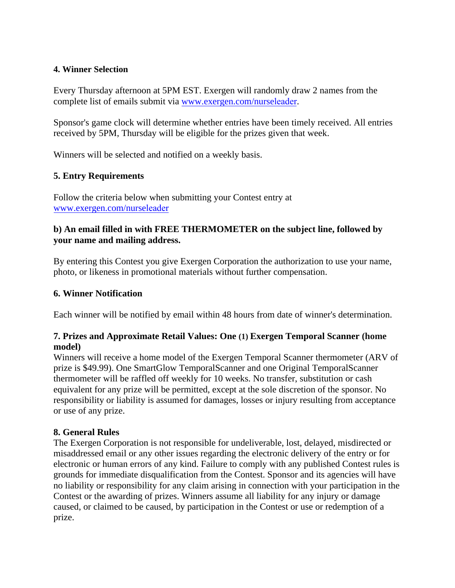#### **4. Winner Selection**

Every Thursday afternoon at 5PM EST. Exergen will randomly draw 2 names from the complete list of emails submit via www.exergen.com/nurseleader.

Sponsor's game clock will determine whether entries have been timely received. All entries received by 5PM, Thursday will be eligible for the prizes given that week.

Winners will be selected and notified on a weekly basis.

#### **5. Entry Requirements**

Follow the criteria below when submitting your Contest entry at www.exergen.com/nurseleader

### **b) An email filled in with FREE THERMOMETER on the subject line, followed by your name and mailing address.**

By entering this Contest you give Exergen Corporation the authorization to use your name, photo, or likeness in promotional materials without further compensation.

#### **6. Winner Notification**

Each winner will be notified by email within 48 hours from date of winner's determination.

#### **7. Prizes and Approximate Retail Values: One (1) Exergen Temporal Scanner (home model)**

Winners will receive a home model of the Exergen Temporal Scanner thermometer (ARV of prize is \$49.99). One SmartGlow TemporalScanner and one Original TemporalScanner thermometer will be raffled off weekly for 10 weeks. No transfer, substitution or cash equivalent for any prize will be permitted, except at the sole discretion of the sponsor. No responsibility or liability is assumed for damages, losses or injury resulting from acceptance or use of any prize.

## **8. General Rules**

The Exergen Corporation is not responsible for undeliverable, lost, delayed, misdirected or misaddressed email or any other issues regarding the electronic delivery of the entry or for electronic or human errors of any kind. Failure to comply with any published Contest rules is grounds for immediate disqualification from the Contest. Sponsor and its agencies will have no liability or responsibility for any claim arising in connection with your participation in the Contest or the awarding of prizes. Winners assume all liability for any injury or damage caused, or claimed to be caused, by participation in the Contest or use or redemption of a prize.